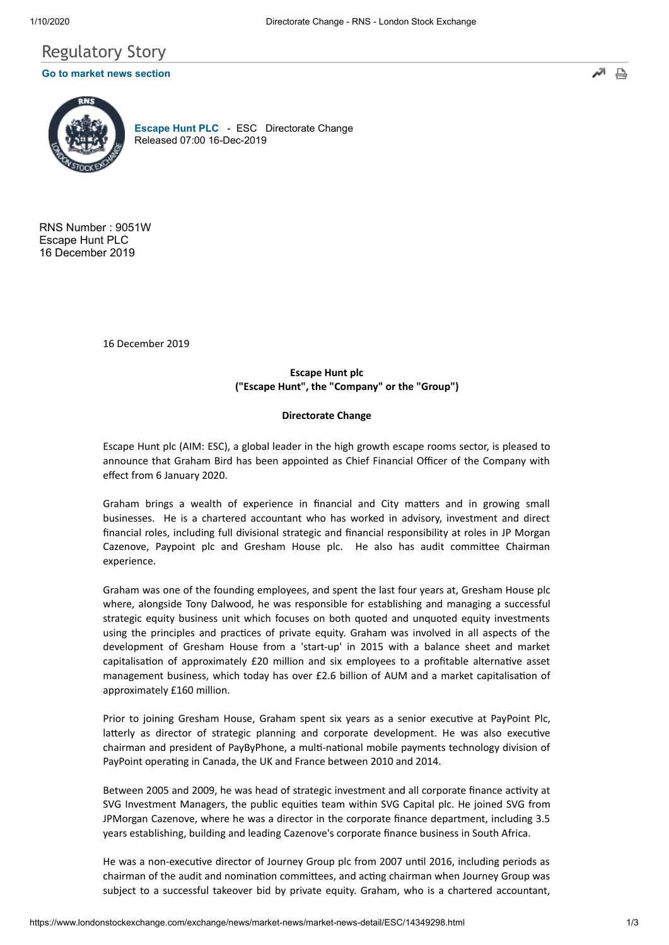

RNS Number : 9051W Escape Hunt PLC 16 December 2019

16 December 2019

# **Escape Hunt plc ("Escape Hunt", the "Company" or the "Group")**

## **Directorate Change**

Escape Hunt plc (AIM: ESC), a global leader in the high growth escape rooms sector, is pleased to announce that Graham Bird has been appointed as Chief Financial Officer of the Company with effect from 6 January 2020.

Graham brings a wealth of experience in financial and City matters and in growing small businesses. He is a chartered accountant who has worked in advisory, investment and direct financial roles, including full divisional strategic and financial responsibility at roles in JP Morgan Cazenove, Paypoint plc and Gresham House plc. He also has audit committee Chairman experience.

Graham was one of the founding employees, and spent the last four years at, Gresham House plc where, alongside Tony Dalwood, he was responsible for establishing and managing a successful strategic equity business unit which focuses on both quoted and unquoted equity investments using the principles and practices of private equity. Graham was involved in all aspects of the development of Gresham House from a 'start-up' in 2015 with a balance sheet and market capitalisation of approximately  $£20$  million and six employees to a profitable alternative asset management business, which today has over £2.6 billion of AUM and a market capitalisation of approximately £160 million.

Prior to joining Gresham House, Graham spent six years as a senior executive at PayPoint Plc, latterly as director of strategic planning and corporate development. He was also executive chairman and president of PayByPhone, a multi-national mobile payments technology division of PayPoint operating in Canada, the UK and France between 2010 and 2014.

Between 2005 and 2009, he was head of strategic investment and all corporate finance activity at SVG Investment Managers, the public equities team within SVG Capital plc. He joined SVG from JPMorgan Cazenove, where he was a director in the corporate finance department, including 3.5 years establishing, building and leading Cazenove's corporate finance business in South Africa.

He was a non-executive director of Journey Group plc from 2007 until 2016, including periods as chairman of the audit and nomination committees, and acting chairman when Journey Group was subject to a successful takeover bid by private equity. Graham, who is a chartered accountant,